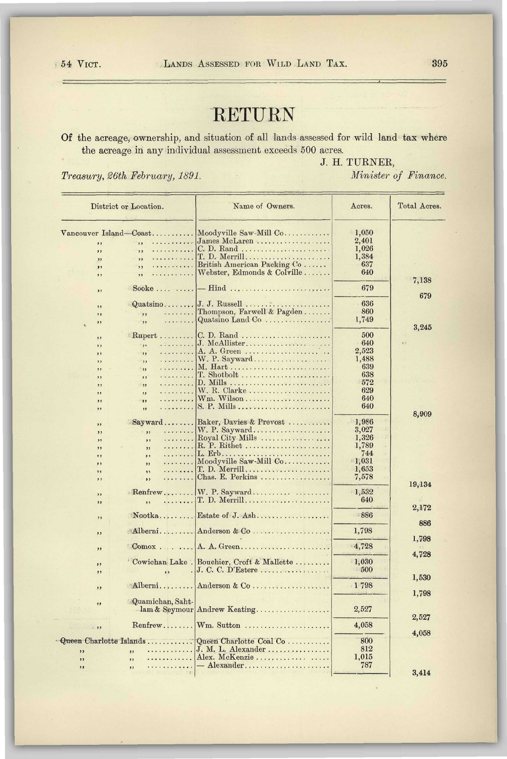## RETURN

Of the acreage, ownership, and situation of all lands assessed for wild land tax where the acreage in any individual assessment exceeds 500 acres.

*Treasury, 26th February, 1891. Minister of Finance.* 

J. H. TURNER,

 $\overline{a}$ 

| District or Location.                   |                                                                                             | Name of Owners.                                                                                                                      | Acres.                                                             | Total Acres.   |
|-----------------------------------------|---------------------------------------------------------------------------------------------|--------------------------------------------------------------------------------------------------------------------------------------|--------------------------------------------------------------------|----------------|
| ,,<br>,,<br>,,<br>,,<br>, ,             | Vancouver Island-Coast<br>.<br>,,<br>.<br>,,<br>.<br>$, \cdot$<br>.<br>,<br>.<br>,          | Moodyville Saw-Mill Co<br>James McLaren<br>C. D. Rand<br>T. D. Merrill<br>British American Packing Co<br>Webster, Edmonds & Colville | 1,050<br>2,401<br>1.026<br>1,384<br>637<br>640                     |                |
| ,,                                      | Sooke $\ldots$                                                                              | $\text{--}$ Hind                                                                                                                     | 679                                                                | 7,138<br>679   |
| ,,<br>,,<br>,,                          | Quatsino<br>.<br>,,<br>,                                                                    | Thompson, Farwell & Pagden<br>Quatsino Land Co                                                                                       | 636<br>860<br>1,749                                                | 3,245          |
| ,<br>, ,<br>, ,<br>,,<br>,,<br>,,<br>,, | $Rupert$<br>.<br>$, \cdot$<br>, ,<br>.<br>, ,<br>.<br>, 1<br>.<br>.<br>$\rightarrow$<br>, , | C. D. Rand<br>A. A. Green<br>M. Hart<br>$T.$ Shotbolt<br>W. R. Clarke                                                                | 500<br>640<br>2,523<br>1,488<br>639<br>638<br>572<br>629           | e.e            |
| ,,<br>,,                                | .<br>, ,<br>.<br>,                                                                          | $Wm.$ Wilson<br>S. P. Mills                                                                                                          | 640<br>640                                                         | 8,909          |
| ,<br>, ,<br>,<br>,,<br>,,<br>,,<br>, ,  | Sayward<br>,<br>.<br>,,<br>.<br>,<br>.<br>, ,<br>.<br>,<br>.<br>,                           | Baker, Davies & Prevost<br>Royal City Mills<br>R. P. Rithet<br>L. Erb<br>Moodyville Saw-Mill Co<br>T. D. Merrill<br>Chas. E. Perkins | 1,986<br>3,027<br>1,326<br>1,789<br>744<br>1,031<br>1,653<br>7,578 |                |
| ,,<br>, ,<br>,,                         | ,,<br>$\mathbb{R}$ enfrew<br>.<br>,,                                                        | $W. P. Sayward \ldots \ldots \ldots$<br>$T. D. \text{Merrill} \dots \dots \dots \dots \dots \dots \dots$                             | 1,532<br>640                                                       | 19,134         |
| ,                                       | Nootka                                                                                      |                                                                                                                                      | 886                                                                | 2,172<br>886   |
| , ,<br>, ,                              | Alberni<br>$\mathbb{Comox}$                                                                 | Anderson & Co<br>A. A. Green                                                                                                         | 1,798<br>4,728                                                     | 1,798          |
| ,<br>, ,                                | ,,                                                                                          | Cowichan Lake . Bouchier, Croft & Mallette                                                                                           | 1,030<br>500                                                       | 4,728          |
| , ,                                     | Alberni                                                                                     | Anderson & Co                                                                                                                        | 1798                                                               | 1,530<br>1,798 |
| , ,                                     | Quamichan, Saht-                                                                            | lam & Seymour Andrew Keating                                                                                                         | 2,527                                                              | 2,527          |
| $\rightarrow$                           | Renfrew                                                                                     | Wm. Sutton                                                                                                                           | 4,058                                                              | 4,058          |
| ,<br>,<br>,,                            | Queen Charlotte Islands<br>and development comprehensive<br>,<br>.<br>,,<br>.<br>,,         | Queen Charlotte Coal Co<br>J. M. L. Alexander<br>Alex. McKenzie<br>$-$ Alexander                                                     | 800<br>812<br>1,015<br>787                                         | 3,414          |